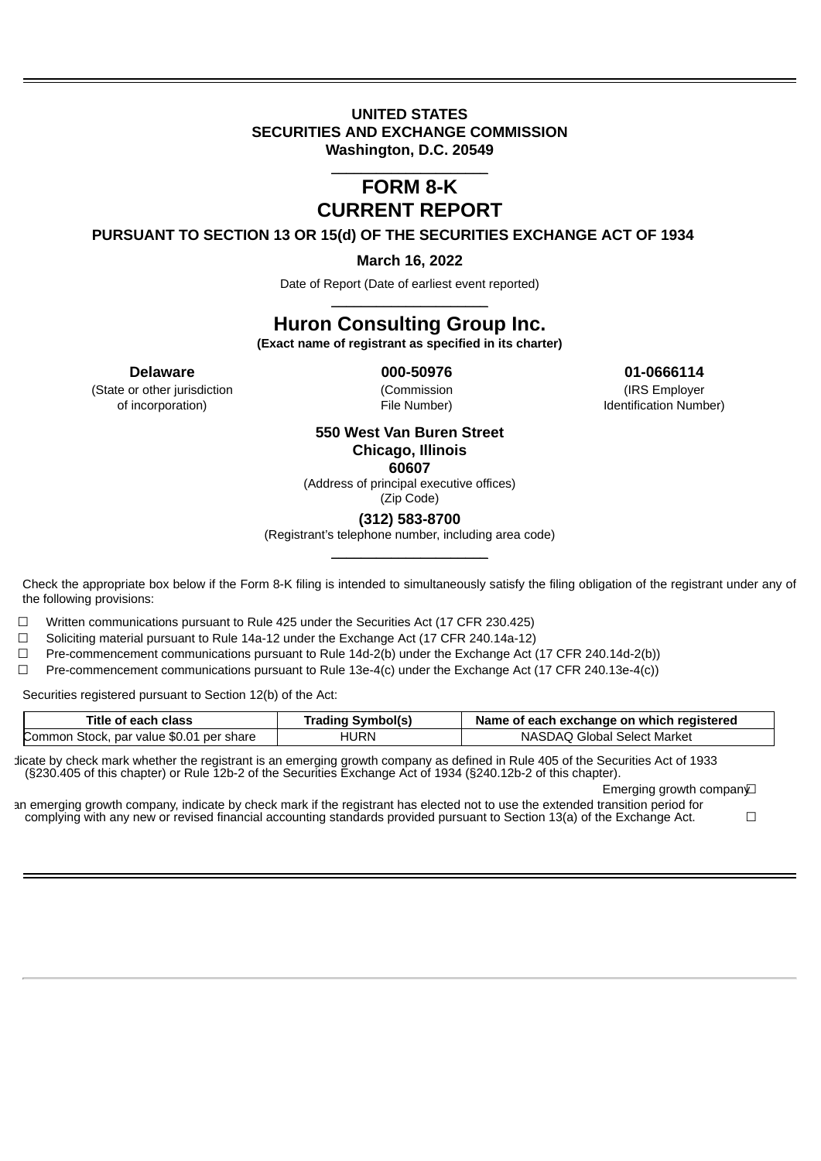### **UNITED STATES SECURITIES AND EXCHANGE COMMISSION Washington, D.C. 20549**

### \_\_\_\_\_\_\_\_\_\_\_\_\_\_\_\_\_\_\_\_\_ **FORM 8-K CURRENT REPORT**

**PURSUANT TO SECTION 13 OR 15(d) OF THE SECURITIES EXCHANGE ACT OF 1934**

**March 16, 2022**

Date of Report (Date of earliest event reported) \_\_\_\_\_\_\_\_\_\_\_\_\_\_\_\_\_\_\_\_\_

# **Huron Consulting Group Inc.**

**(Exact name of registrant as specified in its charter)**

(State or other jurisdiction (Commission (IRS Employer of incorporation) File Number) Identification Number)

**Delaware 000-50976 01-0666114**

## **550 West Van Buren Street Chicago, Illinois**

**60607** (Address of principal executive offices)

(Zip Code)

**(312) 583-8700**

(Registrant's telephone number, including area code) \_\_\_\_\_\_\_\_\_\_\_\_\_\_\_\_\_\_\_\_\_

Check the appropriate box below if the Form 8-K filing is intended to simultaneously satisfy the filing obligation of the registrant under any of the following provisions:

 $\Box$  Written communications pursuant to Rule 425 under the Securities Act (17 CFR 230.425)

 $\Box$  Soliciting material pursuant to Rule 14a-12 under the Exchange Act (17 CFR 240.14a-12)

 $\Box$  Pre-commencement communications pursuant to Rule 14d-2(b) under the Exchange Act (17 CFR 240.14d-2(b))

☐ Pre-commencement communications pursuant to Rule 13e-4(c) under the Exchange Act (17 CFR 240.13e-4(c))

Securities registered pursuant to Section 12(b) of the Act:

| <b>Title of each class</b>               | Trading Symbol(s) | Name of each exchange on which registered |
|------------------------------------------|-------------------|-------------------------------------------|
| Common Stock, par value \$0.01 per share | HURN              | NASDAO Global Select Market               |

dicate by check mark whether the registrant is an emerging growth company as defined in Rule 405 of the Securities Act of 1933 (§230.405 of this chapter) or Rule 12b-2 of the Securities Exchange Act of 1934 (§240.12b-2 of this chapter).

Emerging growth compan∨

an emerging growth company, indicate by check mark if the registrant has elected not to use the extended transition period for complying with any new or revised financial accounting standards provided pursuant to Section 13(a) of the Exchange Act.  $□$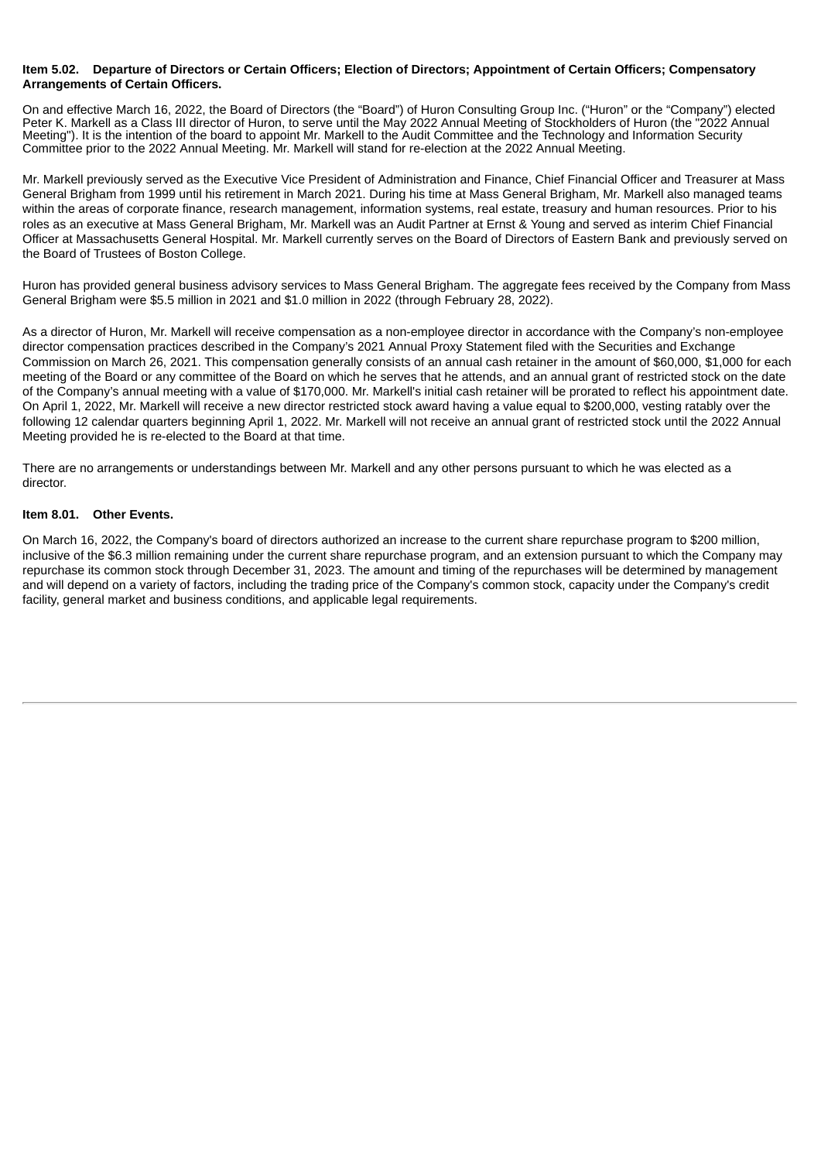#### Item 5.02. Departure of Directors or Certain Officers; Election of Directors; Appointment of Certain Officers; Compensatory **Arrangements of Certain Officers.**

On and effective March 16, 2022, the Board of Directors (the "Board") of Huron Consulting Group Inc. ("Huron" or the "Company") elected Peter K. Markell as a Class III director of Huron, to serve until the May 2022 Annual Meeting of Stockholders of Huron (the "2022 Annual Meeting"). It is the intention of the board to appoint Mr. Markell to the Audit Committee and the Technology and Information Security Committee prior to the 2022 Annual Meeting. Mr. Markell will stand for re-election at the 2022 Annual Meeting.

Mr. Markell previously served as the Executive Vice President of Administration and Finance, Chief Financial Officer and Treasurer at Mass General Brigham from 1999 until his retirement in March 2021. During his time at Mass General Brigham, Mr. Markell also managed teams within the areas of corporate finance, research management, information systems, real estate, treasury and human resources. Prior to his roles as an executive at Mass General Brigham, Mr. Markell was an Audit Partner at Ernst & Young and served as interim Chief Financial Officer at Massachusetts General Hospital. Mr. Markell currently serves on the Board of Directors of Eastern Bank and previously served on the Board of Trustees of Boston College.

Huron has provided general business advisory services to Mass General Brigham. The aggregate fees received by the Company from Mass General Brigham were \$5.5 million in 2021 and \$1.0 million in 2022 (through February 28, 2022).

As a director of Huron, Mr. Markell will receive compensation as a non-employee director in accordance with the Company's non-employee director compensation practices described in the Company's 2021 Annual Proxy Statement filed with the Securities and Exchange Commission on March 26, 2021. This compensation generally consists of an annual cash retainer in the amount of \$60,000, \$1,000 for each meeting of the Board or any committee of the Board on which he serves that he attends, and an annual grant of restricted stock on the date of the Company's annual meeting with a value of \$170,000. Mr. Markell's initial cash retainer will be prorated to reflect his appointment date. On April 1, 2022, Mr. Markell will receive a new director restricted stock award having a value equal to \$200,000, vesting ratably over the following 12 calendar quarters beginning April 1, 2022. Mr. Markell will not receive an annual grant of restricted stock until the 2022 Annual Meeting provided he is re-elected to the Board at that time.

There are no arrangements or understandings between Mr. Markell and any other persons pursuant to which he was elected as a director.

#### **Item 8.01. Other Events.**

On March 16, 2022, the Company's board of directors authorized an increase to the current share repurchase program to \$200 million, inclusive of the \$6.3 million remaining under the current share repurchase program, and an extension pursuant to which the Company may repurchase its common stock through December 31, 2023. The amount and timing of the repurchases will be determined by management and will depend on a variety of factors, including the trading price of the Company's common stock, capacity under the Company's credit facility, general market and business conditions, and applicable legal requirements.